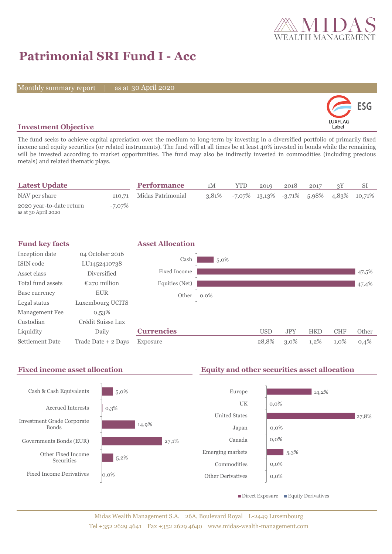

# **Patrimonial SRI Fund I - Acc**

Monthly summary report | as at 30 April 2020



## **Investment Objective**

The fund seeks to achieve capital apreciation over the medium to long-term by investing in a diversified portfolio of primarily fixed income and equity securities (or related instruments). The fund will at all times be at least 40% invested in bonds while the remaining will be invested according to market opportunities. The fund may also be indirectly invested in commodities (including precious metals) and related thematic plays.

| <b>Latest Update</b>                            |        | <b>Performance</b>       | 1M    | YTD.                                              | 2019 | 2018 | 2017 |  |
|-------------------------------------------------|--------|--------------------------|-------|---------------------------------------------------|------|------|------|--|
| NAV per share                                   |        | 110,71 Midas Patrimonial | 3.81% | $-7.07\%$ 13.13\% $-3.71\%$ 5.98\% 4.83\% 10.71\% |      |      |      |  |
| 2020 year-to-date return<br>as at 30 April 2020 | -7,07% |                          |       |                                                   |      |      |      |  |

| <b>Fund key facts</b>  |                     | <b>Asset Allocation</b> |         |            |            |            |            |       |
|------------------------|---------------------|-------------------------|---------|------------|------------|------------|------------|-------|
| Inception date         | 04 October 2016     |                         |         |            |            |            |            |       |
| ISIN code              | LU1452410738        | Cash                    | $5,0\%$ |            |            |            |            |       |
| Asset class            | <b>Diversified</b>  | Fixed Income            |         |            |            |            |            | 47,5% |
| Total fund assets      | $E270$ million      | Equities (Net)          |         |            |            |            |            | 47,4% |
| Base currency          | <b>EUR</b>          | Other                   | $0,0\%$ |            |            |            |            |       |
| Legal status           | Luxembourg UCITS    |                         |         |            |            |            |            |       |
| Management Fee         | 0,53%               |                         |         |            |            |            |            |       |
| Custodian              | Crédit Suisse Lux   |                         |         |            |            |            |            |       |
| Liquidity              | Daily               | <b>Currencies</b>       |         | <b>USD</b> | <b>JPY</b> | <b>HKD</b> | <b>CHF</b> | Other |
| <b>Settlement Date</b> | Trade Date + 2 Days | Exposure                |         | 28,8%      | $3,0\%$    | 1,2%       | 1,0%       | 0,4%  |

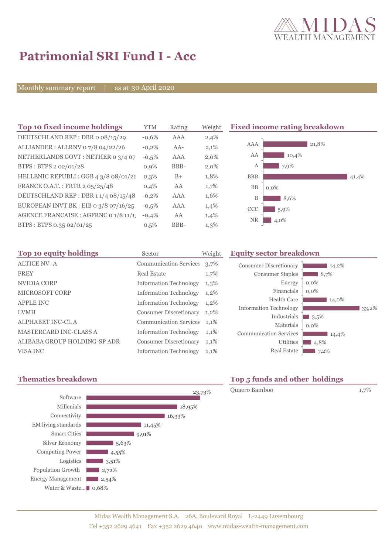

# **Patrimonial SRI Fund I - Acc**

Monthly summary report | as at 30 April 2020

| Top 10 fixed income holdings          | <b>YTM</b> | Rating | Weight | <b>Fixed</b>   |
|---------------------------------------|------------|--------|--------|----------------|
| DEUTSCHLAND REP: DBR o 08/15/29       | $-0.6%$    | AAA    | 2,4%   |                |
| ALLIANDER: ALLRNV 07/8 04/22/26       | $-0,2%$    | $AA-$  | 2,1%   | $\Delta$       |
| NETHERLANDS GOVT: NETHER 0 3/4 07     | $-0,5%$    | AAA    | 2,0%   | $\overline{1}$ |
| BTPS: BTPS 2 02/01/28                 | $0,9\%$    | BBB-   | 2,0%   |                |
| HELLENIC REPUBLI : GGB 4 3/8 08/01/22 | 0.3%       | $B+$   | 1,8%   | B)             |
| FRANCE O.A.T.: FRTR 2 05/25/48        | $0.4\%$    | AA     | 1,7%   |                |
| DEUTSCHLAND REP: DBR 11/4 08/15/48    | $-0,2%$    | AAA    | 1,6%   |                |
| EUROPEAN INVT BK : EIB o 3/8 07/16/25 | $-0.5%$    | AAA    | 1,4%   | $\alpha$       |
| AGENCE FRANCAISE : AGFRNC 0 1/8 11/1  | $-0.4%$    | AA     | 1,4%   | Þ              |
| BTPS: BTPS 0.35 02/01/25              | 0.5%       | BBB-   | 1,3%   |                |
|                                       |            |        |        |                |

**The 10 fixed income rating breakdown** 



| Top 10 equity holdings        | Sector                        | Weight  |
|-------------------------------|-------------------------------|---------|
| <b>ALTICE NV - A</b>          | <b>Communication Services</b> | 3,7%    |
| <b>FREY</b>                   | Real Estate                   | 1,7%    |
| NVIDIA CORP                   | <b>Information Technology</b> | $1,3\%$ |
| <b>MICROSOFT CORP</b>         | <b>Information Technology</b> | 1,2%    |
| <b>APPLE INC</b>              | <b>Information Technology</b> | 1,2%    |
| <b>LVMH</b>                   | <b>Consumer Discretionary</b> | $1,2\%$ |
| <b>ALPHABET INC-CL A</b>      | <b>Communication Services</b> | 1,1%    |
| <b>MASTERCARD INC-CLASS A</b> | <b>Information Technology</b> | 1,1%    |
| ALIBABA GROUP HOLDING-SP ADR  | <b>Consumer Discretionary</b> | 1,1%    |
| VISA INC                      | <b>Information Technology</b> | 1,1%    |

### **Equity sector breakdown**

| <b>Consumer Discretionary</b> | 14,2%   |
|-------------------------------|---------|
| <b>Consumer Staples</b>       | 8,7%    |
| Energy                        | $0,0\%$ |
| Financials                    | $0.0\%$ |
| Health Care                   | 14,0%   |
| <b>Information Technology</b> | 33,2%   |
| Industrials                   | 3,5%    |
| Materials                     | $0,0\%$ |
| <b>Communication Services</b> | 14,4%   |
| Utilities                     | 4,8%    |
| <b>Real Estate</b>            | 7,2%    |





## **Thematics breakdown Top 5 funds and other holdings**

Quaero Bamboo 1,7%